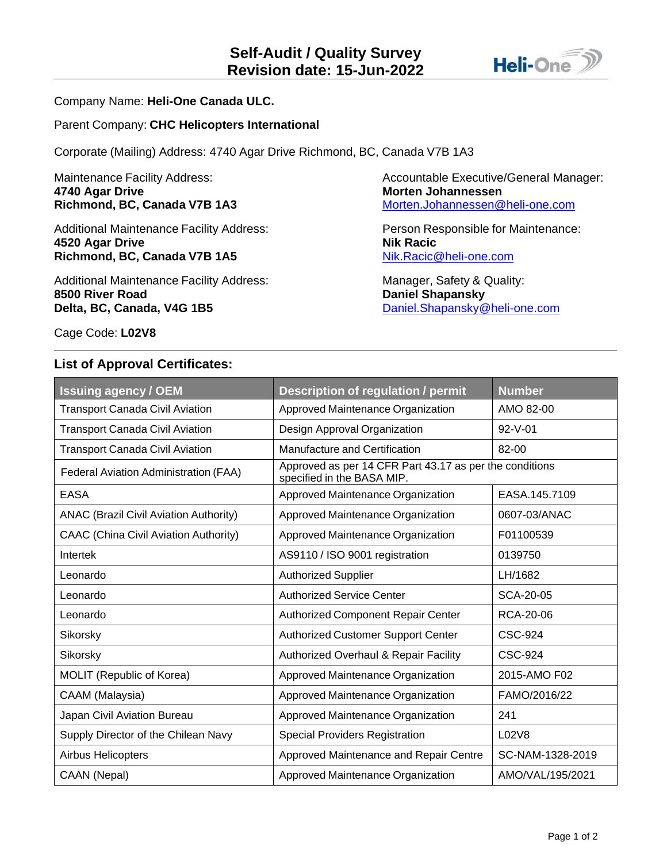

## Company Name: **Heli-One Canada ULC.**

## Parent Company: **CHC Helicopters International**

Corporate (Mailing) Address: 4740 Agar Drive Richmond, BC, Canada V7B 1A3

**4740 Agar Drive Morten Johannessen** 

Additional Maintenance Facility Address: Person Responsible for Maintenance: **4520 Agar Drive Nik Racic Richmond, BC, Canada V7B 1A5** [Nik.Racic@heli-one.com](mailto:Nik.Racic@heli-one.com)

Additional Maintenance Facility Address: Manager, Safety & Quality: **8500 River Road Daniel Shapansky Delta, BC, Canada, V4G 1B5** [Daniel.Shapansky@heli-one.com](mailto:Daniel.Shapansky@heli-one.com)

Maintenance Facility Address: Accountable Executive/General Manager: **Richmond, BC, Canada V7B 1A3** [Morten.Johannessen@heli-one.com](mailto:Morten.Johannessen@heli-one.com)

Cage Code: **L02V8**

## **List of Approval Certificates:**

| <b>Issuing agency / OEM</b>                   | Description of regulation / permit                                                    | <b>Number</b>    |  |
|-----------------------------------------------|---------------------------------------------------------------------------------------|------------------|--|
| <b>Transport Canada Civil Aviation</b>        | Approved Maintenance Organization                                                     | AMO 82-00        |  |
| <b>Transport Canada Civil Aviation</b>        | Design Approval Organization                                                          | $92 - V - 01$    |  |
| <b>Transport Canada Civil Aviation</b>        | Manufacture and Certification                                                         | 82-00            |  |
| Federal Aviation Administration (FAA)         | Approved as per 14 CFR Part 43.17 as per the conditions<br>specified in the BASA MIP. |                  |  |
| <b>EASA</b>                                   | Approved Maintenance Organization                                                     | EASA.145.7109    |  |
| <b>ANAC (Brazil Civil Aviation Authority)</b> | Approved Maintenance Organization                                                     | 0607-03/ANAC     |  |
| <b>CAAC (China Civil Aviation Authority)</b>  | Approved Maintenance Organization                                                     | F01100539        |  |
| Intertek                                      | AS9110 / ISO 9001 registration                                                        | 0139750          |  |
| Leonardo                                      | <b>Authorized Supplier</b>                                                            | LH/1682          |  |
| Leonardo                                      | <b>Authorized Service Center</b>                                                      | SCA-20-05        |  |
| Leonardo                                      | <b>Authorized Component Repair Center</b>                                             | RCA-20-06        |  |
| Sikorsky                                      | <b>Authorized Customer Support Center</b>                                             | <b>CSC-924</b>   |  |
| Sikorsky                                      | <b>Authorized Overhaul &amp; Repair Facility</b>                                      | <b>CSC-924</b>   |  |
| MOLIT (Republic of Korea)                     | Approved Maintenance Organization                                                     | 2015-AMO F02     |  |
| CAAM (Malaysia)                               | Approved Maintenance Organization                                                     | FAMO/2016/22     |  |
| Japan Civil Aviation Bureau                   | Approved Maintenance Organization                                                     | 241              |  |
| Supply Director of the Chilean Navy           | <b>Special Providers Registration</b>                                                 | L02V8            |  |
| Airbus Helicopters                            | Approved Maintenance and Repair Centre                                                | SC-NAM-1328-2019 |  |
| CAAN (Nepal)                                  | Approved Maintenance Organization                                                     | AMO/VAL/195/2021 |  |